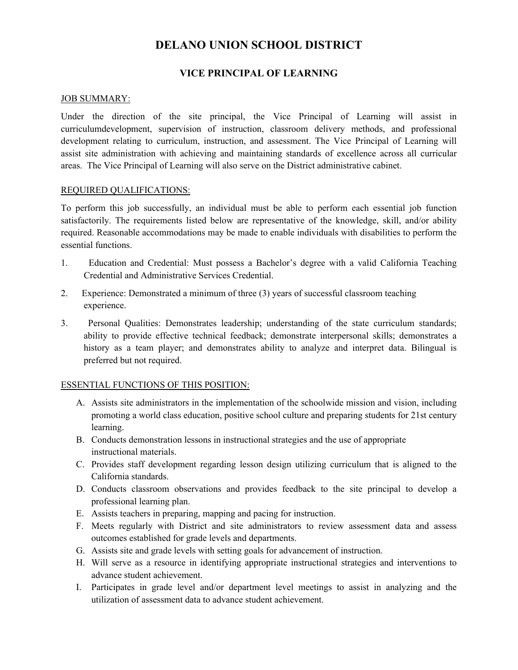# **DELANO UNION SCHOOL DISTRICT**

# **VICE PRINCIPAL OF LEARNING**

#### JOB SUMMARY:

Under the direction of the site principal, the Vice Principal of Learning will assist in curriculumdevelopment, supervision of instruction, classroom delivery methods, and professional development relating to curriculum, instruction, and assessment. The Vice Principal of Learning will assist site administration with achieving and maintaining standards of excellence across all curricular areas. The Vice Principal of Learning will also serve on the District administrative cabinet.

## REQUIRED QUALIFICATIONS:

To perform this job successfully, an individual must be able to perform each essential job function satisfactorily. The requirements listed below are representative of the knowledge, skill, and/or ability required. Reasonable accommodations may be made to enable individuals with disabilities to perform the essential functions.

- 1. Education and Credential: Must possess a Bachelor's degree with a valid California Teaching Credential and Administrative Services Credential.
- 2. Experience: Demonstrated a minimum of three (3) years of successful classroom teaching experience.
- 3. Personal Qualities: Demonstrates leadership; understanding of the state curriculum standards; ability to provide effective technical feedback; demonstrate interpersonal skills; demonstrates a history as a team player; and demonstrates ability to analyze and interpret data. Bilingual is preferred but not required.

#### ESSENTIAL FUNCTIONS OF THIS POSITION:

- A. Assists site administrators in the implementation of the schoolwide mission and vision, including promoting a world class education, positive school culture and preparing students for 21st century learning.
- B. Conducts demonstration lessons in instructional strategies and the use of appropriate instructional materials.
- C. Provides staff development regarding lesson design utilizing curriculum that is aligned to the California standards.
- D. Conducts classroom observations and provides feedback to the site principal to develop a professional learning plan.
- E. Assists teachers in preparing, mapping and pacing for instruction.
- F. Meets regularly with District and site administrators to review assessment data and assess outcomes established for grade levels and departments.
- G. Assists site and grade levels with setting goals for advancement of instruction.
- H. Will serve as a resource in identifying appropriate instructional strategies and interventions to advance student achievement.
- I. Participates in grade level and/or department level meetings to assist in analyzing and the utilization of assessment data to advance student achievement.